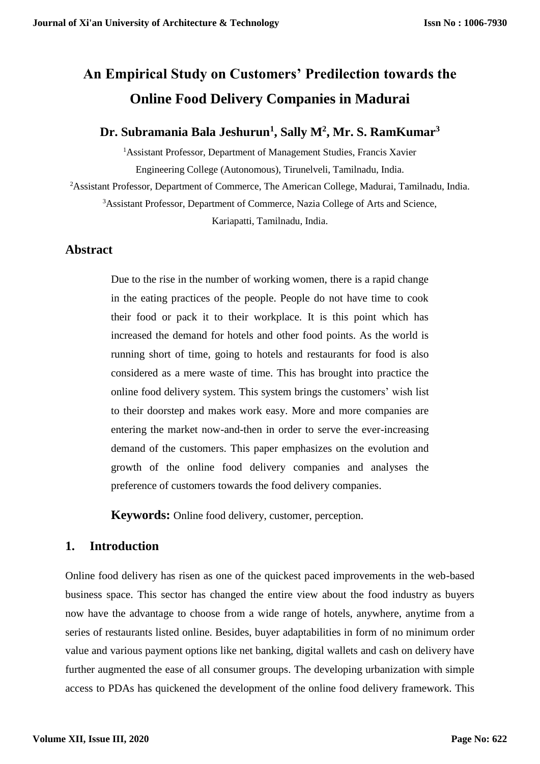# **An Empirical Study on Customers' Predilection towards the Online Food Delivery Companies in Madurai**

# **Dr. Subramania Bala Jeshurun<sup>1</sup> , Sally M<sup>2</sup> , Mr. S. RamKumar<sup>3</sup>**

<sup>1</sup> Assistant Professor, Department of Management Studies, Francis Xavier Engineering College (Autonomous), Tirunelveli, Tamilnadu, India.

<sup>2</sup>Assistant Professor, Department of Commerce, The American College, Madurai, Tamilnadu, India.

<sup>3</sup>Assistant Professor, Department of Commerce, Nazia College of Arts and Science,

Kariapatti, Tamilnadu, India.

## **Abstract**

Due to the rise in the number of working women, there is a rapid change in the eating practices of the people. People do not have time to cook their food or pack it to their workplace. It is this point which has increased the demand for hotels and other food points. As the world is running short of time, going to hotels and restaurants for food is also considered as a mere waste of time. This has brought into practice the online food delivery system. This system brings the customers' wish list to their doorstep and makes work easy. More and more companies are entering the market now-and-then in order to serve the ever-increasing demand of the customers. This paper emphasizes on the evolution and growth of the online food delivery companies and analyses the preference of customers towards the food delivery companies.

**Keywords:** Online food delivery, customer, perception.

# **1. Introduction**

Online food delivery has risen as one of the quickest paced improvements in the web-based business space. This sector has changed the entire view about the food industry as buyers now have the advantage to choose from a wide range of hotels, anywhere, anytime from a series of restaurants listed online. Besides, buyer adaptabilities in form of no minimum order value and various payment options like net banking, digital wallets and cash on delivery have further augmented the ease of all consumer groups. The developing urbanization with simple access to PDAs has quickened the development of the online food delivery framework. This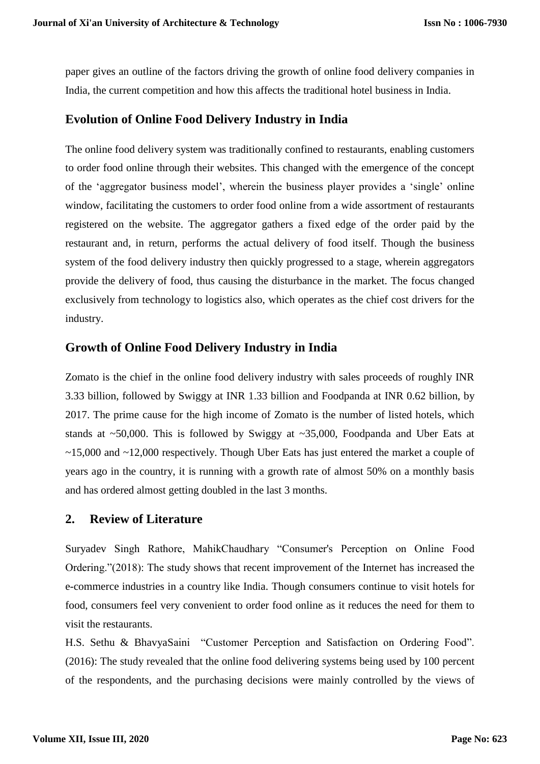paper gives an outline of the factors driving the growth of online food delivery companies in India, the current competition and how this affects the traditional hotel business in India.

#### **Evolution of Online Food Delivery Industry in India**

The online food delivery system was traditionally confined to restaurants, enabling customers to order food online through their websites. This changed with the emergence of the concept of the 'aggregator business model', wherein the business player provides a 'single' online window, facilitating the customers to order food online from a wide assortment of restaurants registered on the website. The aggregator gathers a fixed edge of the order paid by the restaurant and, in return, performs the actual delivery of food itself. Though the business system of the food delivery industry then quickly progressed to a stage, wherein aggregators provide the delivery of food, thus causing the disturbance in the market. The focus changed exclusively from technology to logistics also, which operates as the chief cost drivers for the industry.

#### **Growth of Online Food Delivery Industry in India**

Zomato is the chief in the online food delivery industry with sales proceeds of roughly INR 3.33 billion, followed by Swiggy at INR 1.33 billion and Foodpanda at INR 0.62 billion, by 2017. The prime cause for the high income of Zomato is the number of listed hotels, which stands at  $\sim$  50,000. This is followed by Swiggy at  $\sim$  35,000, Foodpanda and Uber Eats at ~15,000 and ~12,000 respectively. Though Uber Eats has just entered the market a couple of years ago in the country, it is running with a growth rate of almost 50% on a monthly basis and has ordered almost getting doubled in the last 3 months.

#### **2. Review of Literature**

Suryadev Singh Rathore, MahikChaudhary "Consumer's Perception on Online Food Ordering."(2018): The study shows that recent improvement of the Internet has increased the e-commerce industries in a country like India. Though consumers continue to visit hotels for food, consumers feel very convenient to order food online as it reduces the need for them to visit the restaurants.

H.S. Sethu & BhavyaSaini "Customer Perception and Satisfaction on Ordering Food". (2016): The study revealed that the online food delivering systems being used by 100 percent of the respondents, and the purchasing decisions were mainly controlled by the views of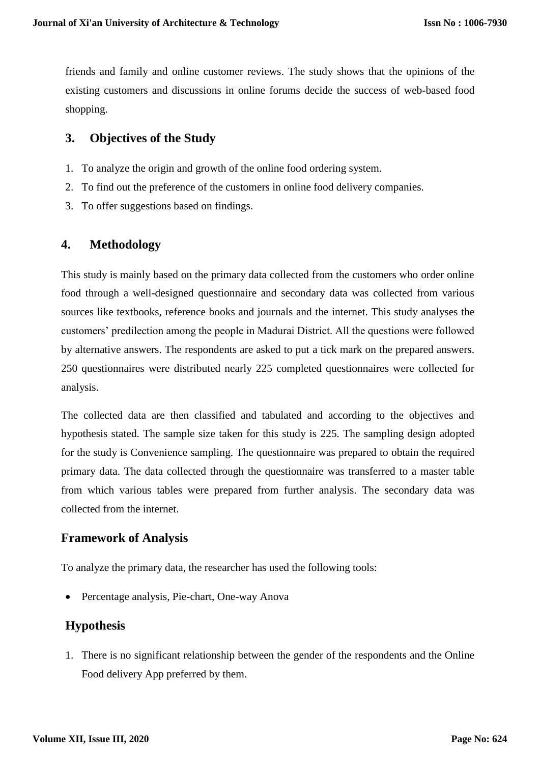friends and family and online customer reviews. The study shows that the opinions of the existing customers and discussions in online forums decide the success of web-based food shopping.

## **3. Objectives of the Study**

- 1. To analyze the origin and growth of the online food ordering system.
- 2. To find out the preference of the customers in online food delivery companies.
- 3. To offer suggestions based on findings.

# **4. Methodology**

This study is mainly based on the primary data collected from the customers who order online food through a well-designed questionnaire and secondary data was collected from various sources like textbooks, reference books and journals and the internet. This study analyses the customers' predilection among the people in Madurai District. All the questions were followed by alternative answers. The respondents are asked to put a tick mark on the prepared answers. 250 questionnaires were distributed nearly 225 completed questionnaires were collected for analysis.

The collected data are then classified and tabulated and according to the objectives and hypothesis stated. The sample size taken for this study is 225. The sampling design adopted for the study is Convenience sampling. The questionnaire was prepared to obtain the required primary data. The data collected through the questionnaire was transferred to a master table from which various tables were prepared from further analysis. The secondary data was collected from the internet.

## **Framework of Analysis**

To analyze the primary data, the researcher has used the following tools:

Percentage analysis, Pie-chart, One-way Anova

# **Hypothesis**

1. There is no significant relationship between the gender of the respondents and the Online Food delivery App preferred by them.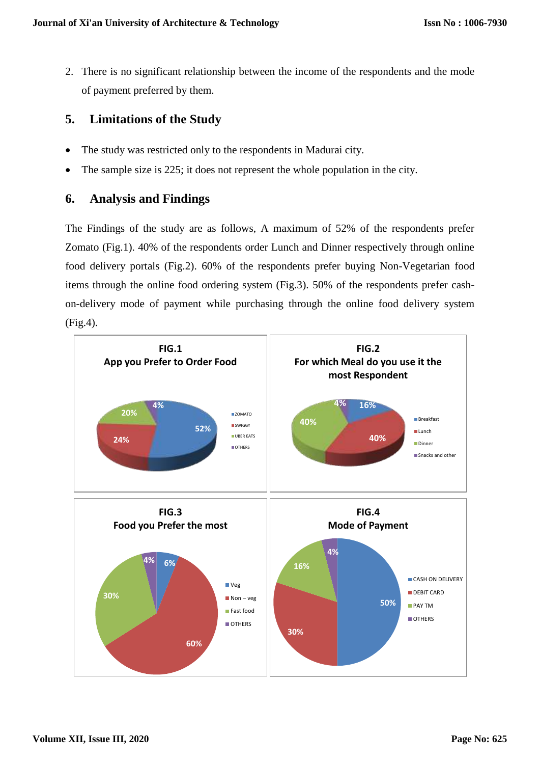2. There is no significant relationship between the income of the respondents and the mode of payment preferred by them.

# **5. Limitations of the Study**

- The study was restricted only to the respondents in Madurai city.
- The sample size is 225; it does not represent the whole population in the city.

# **6. Analysis and Findings**

The Findings of the study are as follows, A maximum of 52% of the respondents prefer Zomato (Fig.1). 40% of the respondents order Lunch and Dinner respectively through online food delivery portals (Fig.2). 60% of the respondents prefer buying Non-Vegetarian food items through the online food ordering system (Fig.3). 50% of the respondents prefer cashon-delivery mode of payment while purchasing through the online food delivery system (Fig.4).

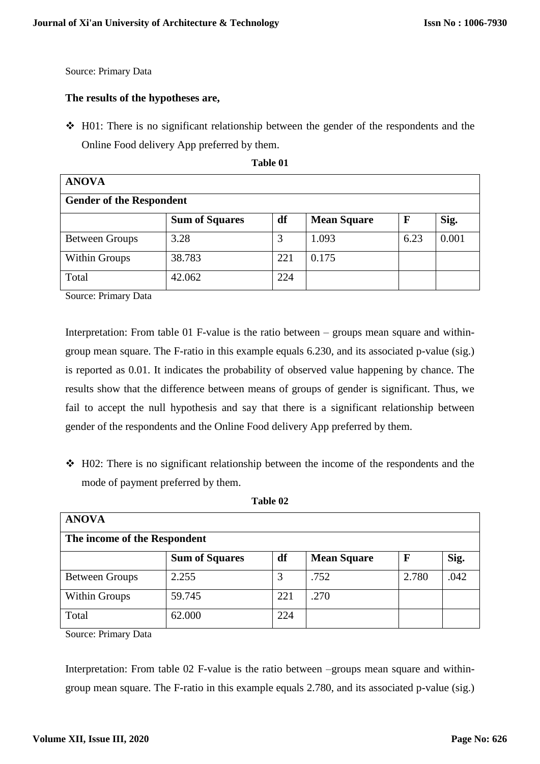Source: Primary Data

#### **The results of the hypotheses are,**

 $\div$  H01: There is no significant relationship between the gender of the respondents and the Online Food delivery App preferred by them.

**Table 01**

| <b>ANOVA</b>                    |                       |     |                    |             |       |
|---------------------------------|-----------------------|-----|--------------------|-------------|-------|
| <b>Gender of the Respondent</b> |                       |     |                    |             |       |
|                                 | <b>Sum of Squares</b> | df  | <b>Mean Square</b> | $\mathbf F$ | Sig.  |
| <b>Between Groups</b>           | 3.28                  | 3   | 1.093              | 6.23        | 0.001 |
| <b>Within Groups</b>            | 38.783                | 221 | 0.175              |             |       |
| Total                           | 42.062                | 224 |                    |             |       |

Source: Primary Data

Interpretation: From table 01 F-value is the ratio between – groups mean square and withingroup mean square. The F-ratio in this example equals 6.230, and its associated p-value (sig.) is reported as 0.01. It indicates the probability of observed value happening by chance. The results show that the difference between means of groups of gender is significant. Thus, we fail to accept the null hypothesis and say that there is a significant relationship between gender of the respondents and the Online Food delivery App preferred by them.

 $\div$  H02: There is no significant relationship between the income of the respondents and the mode of payment preferred by them.

| <b>ANOVA</b>                 |                       |     |                    |             |      |
|------------------------------|-----------------------|-----|--------------------|-------------|------|
| The income of the Respondent |                       |     |                    |             |      |
|                              | <b>Sum of Squares</b> | df  | <b>Mean Square</b> | $\mathbf F$ | Sig. |
| <b>Between Groups</b>        | 2.255                 | 3   | .752               | 2.780       | .042 |
| Within Groups                | 59.745                | 221 | .270               |             |      |
| Total                        | 62.000                | 224 |                    |             |      |

**Table 02**

Source: Primary Data

Interpretation: From table 02 F-value is the ratio between –groups mean square and withingroup mean square. The F-ratio in this example equals 2.780, and its associated p-value (sig.)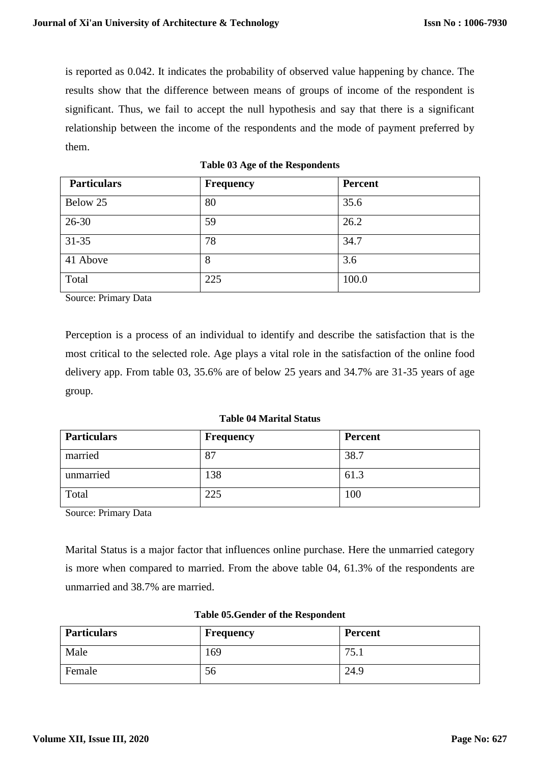is reported as 0.042. It indicates the probability of observed value happening by chance. The results show that the difference between means of groups of income of the respondent is significant. Thus, we fail to accept the null hypothesis and say that there is a significant relationship between the income of the respondents and the mode of payment preferred by them.

| <b>Particulars</b> | <b>Frequency</b> | Percent |
|--------------------|------------------|---------|
| Below 25           | 80               | 35.6    |
| $26 - 30$          | 59               | 26.2    |
| $31 - 35$          | 78               | 34.7    |
| 41 Above           | 8                | 3.6     |
| Total              | 225              | 100.0   |

**Table 03 Age of the Respondents**

Source: Primary Data

Perception is a process of an individual to identify and describe the satisfaction that is the most critical to the selected role. Age plays a vital role in the satisfaction of the online food delivery app. From table 03, 35.6% are of below 25 years and 34.7% are 31-35 years of age group.

#### **Table 04 Marital Status**

| <b>Particulars</b> | <b>Frequency</b> | <b>Percent</b> |
|--------------------|------------------|----------------|
| married            | 87               | 38.7           |
| unmarried          | 138              | 61.3           |
| Total              | 225              | 100            |

Source: Primary Data

Marital Status is a major factor that influences online purchase. Here the unmarried category is more when compared to married. From the above table 04, 61.3% of the respondents are unmarried and 38.7% are married.

| <b>Particulars</b> | <b>Frequency</b> | <b>Percent</b> |
|--------------------|------------------|----------------|
| Male               | 169              | .              |
| Female             | 56               | 24.9           |

#### **Table 05.Gender of the Respondent**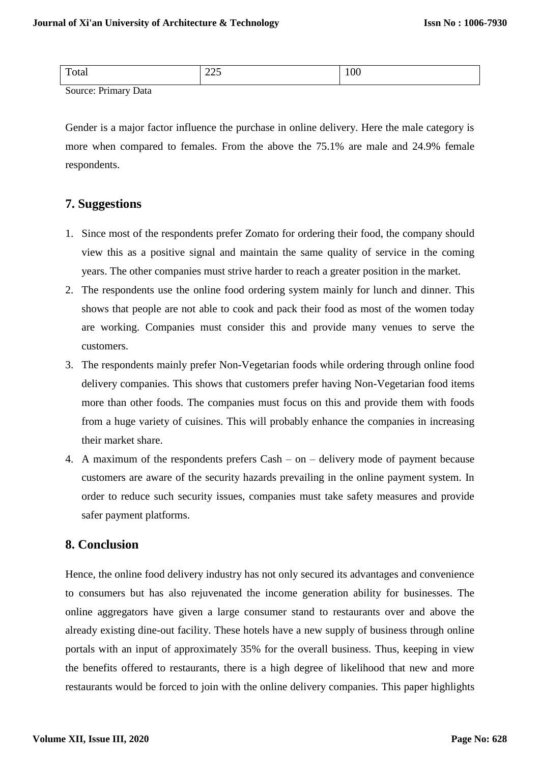| $\mathbf{u}$                           | $\Delta \Delta \tau$ | $\Omega$ |
|----------------------------------------|----------------------|----------|
| Total                                  | رے کے                | 1 V V    |
| $\sim$<br>$\mathbf{r}$ .<br>$\sqrt{ }$ |                      |          |

Source: Primary Data

Gender is a major factor influence the purchase in online delivery. Here the male category is more when compared to females. From the above the 75.1% are male and 24.9% female respondents.

#### **7. Suggestions**

- 1. Since most of the respondents prefer Zomato for ordering their food, the company should view this as a positive signal and maintain the same quality of service in the coming years. The other companies must strive harder to reach a greater position in the market.
- 2. The respondents use the online food ordering system mainly for lunch and dinner. This shows that people are not able to cook and pack their food as most of the women today are working. Companies must consider this and provide many venues to serve the customers.
- 3. The respondents mainly prefer Non-Vegetarian foods while ordering through online food delivery companies. This shows that customers prefer having Non-Vegetarian food items more than other foods. The companies must focus on this and provide them with foods from a huge variety of cuisines. This will probably enhance the companies in increasing their market share.
- 4. A maximum of the respondents prefers Cash on delivery mode of payment because customers are aware of the security hazards prevailing in the online payment system. In order to reduce such security issues, companies must take safety measures and provide safer payment platforms.

## **8. Conclusion**

Hence, the online food delivery industry has not only secured its advantages and convenience to consumers but has also rejuvenated the income generation ability for businesses. The online aggregators have given a large consumer stand to restaurants over and above the already existing dine-out facility. These hotels have a new supply of business through online portals with an input of approximately 35% for the overall business. Thus, keeping in view the benefits offered to restaurants, there is a high degree of likelihood that new and more restaurants would be forced to join with the online delivery companies. This paper highlights